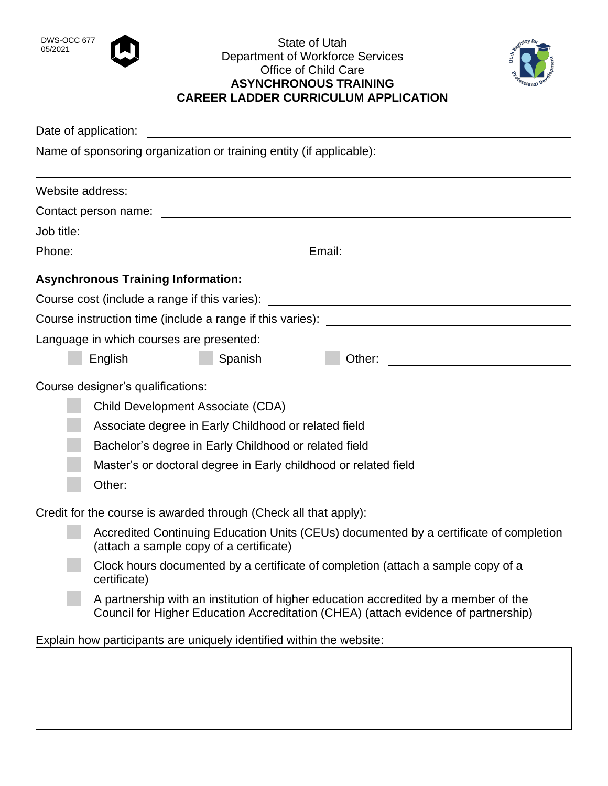

## DWS-OCC 677 **CONTRACT CONTRACT CONTRACT CONTRACT CONTRACT CONTRACT CONTRACT CONTRACT CONTRACT CONTRACT CONTRACT CONTRACT CONTRACT CONTRACT CONTRACT CONTRACT CONTRACT CONTRACT CONTRACT CONTRACT CONTRACT CONTRACT CONTRACT CO** Department of Workforce Services Office of Child Care **ASYNCHRONOUS TRAINING CAREER LADDER CURRICULUM APPLICATION**



|                                                                      | Date of application:                                                                                                                                                      |
|----------------------------------------------------------------------|---------------------------------------------------------------------------------------------------------------------------------------------------------------------------|
| Name of sponsoring organization or training entity (if applicable):  |                                                                                                                                                                           |
| Website address:                                                     |                                                                                                                                                                           |
|                                                                      |                                                                                                                                                                           |
| Job title:                                                           |                                                                                                                                                                           |
| Phone:                                                               | <u> 1989 - Johann Barbara, martin amerikan basal dan berasal dan berasal dalam basal dan berasal dan berasal dan</u>                                                      |
|                                                                      | <b>Asynchronous Training Information:</b>                                                                                                                                 |
|                                                                      | Course cost (include a range if this varies): __________________________________                                                                                          |
|                                                                      |                                                                                                                                                                           |
|                                                                      | Language in which courses are presented:                                                                                                                                  |
|                                                                      | Spanish<br>English<br>Other:                                                                                                                                              |
|                                                                      | Course designer's qualifications:                                                                                                                                         |
|                                                                      | Child Development Associate (CDA)                                                                                                                                         |
|                                                                      | Associate degree in Early Childhood or related field                                                                                                                      |
|                                                                      | Bachelor's degree in Early Childhood or related field                                                                                                                     |
|                                                                      | Master's or doctoral degree in Early childhood or related field                                                                                                           |
|                                                                      | Other:                                                                                                                                                                    |
|                                                                      | Credit for the course is awarded through (Check all that apply):                                                                                                          |
|                                                                      | Accredited Continuing Education Units (CEUs) documented by a certificate of completion<br>(attach a sample copy of a certificate)                                         |
|                                                                      | Clock hours documented by a certificate of completion (attach a sample copy of a<br>certificate)                                                                          |
|                                                                      | A partnership with an institution of higher education accredited by a member of the<br>Council for Higher Education Accreditation (CHEA) (attach evidence of partnership) |
| Explain how participants are uniquely identified within the website: |                                                                                                                                                                           |
|                                                                      |                                                                                                                                                                           |